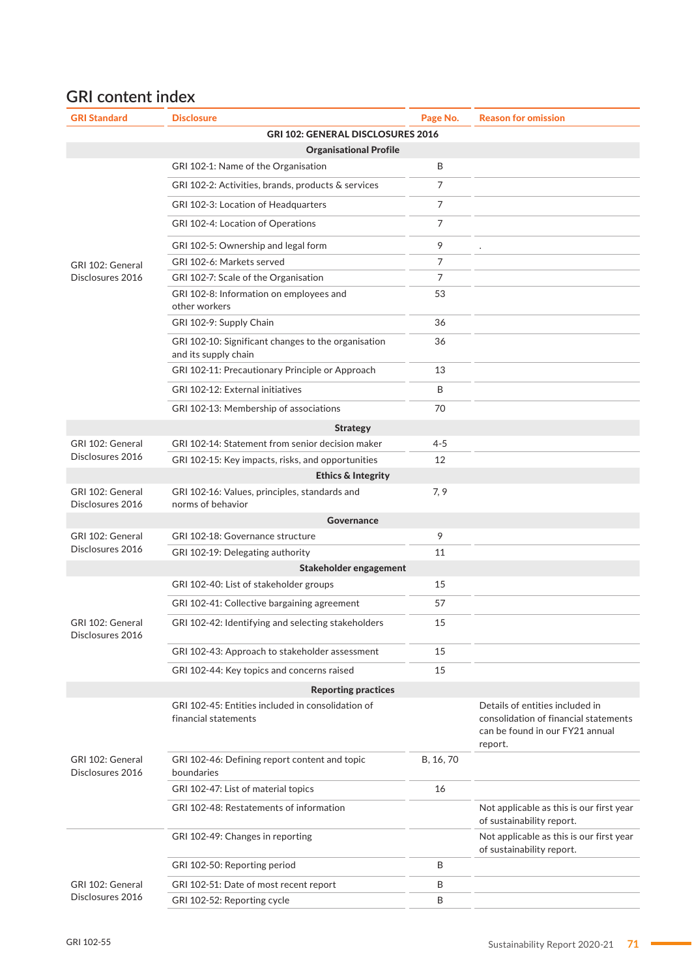## **GRI content index**

| <b>GRI Standard</b>                  | <b>Disclosure</b>                                                           | Page No.       | <b>Reason for omission</b>                                                                                             |
|--------------------------------------|-----------------------------------------------------------------------------|----------------|------------------------------------------------------------------------------------------------------------------------|
|                                      | GRI 102: GENERAL DISCLOSURES 2016                                           |                |                                                                                                                        |
|                                      | <b>Organisational Profile</b>                                               |                |                                                                                                                        |
|                                      | GRI 102-1: Name of the Organisation                                         | B              |                                                                                                                        |
|                                      | GRI 102-2: Activities, brands, products & services                          | $\overline{7}$ |                                                                                                                        |
|                                      | GRI 102-3: Location of Headquarters                                         | $\overline{7}$ |                                                                                                                        |
|                                      | GRI 102-4: Location of Operations                                           | 7              |                                                                                                                        |
|                                      | GRI 102-5: Ownership and legal form                                         | 9              |                                                                                                                        |
| GRI 102: General                     | GRI 102-6: Markets served                                                   | 7              |                                                                                                                        |
| Disclosures 2016                     | GRI 102-7: Scale of the Organisation                                        | 7              |                                                                                                                        |
|                                      | GRI 102-8: Information on employees and<br>other workers                    | 53             |                                                                                                                        |
|                                      | GRI 102-9: Supply Chain                                                     | 36             |                                                                                                                        |
|                                      | GRI 102-10: Significant changes to the organisation<br>and its supply chain | 36             |                                                                                                                        |
|                                      | GRI 102-11: Precautionary Principle or Approach                             | 13             |                                                                                                                        |
|                                      | GRI 102-12: External initiatives                                            | B              |                                                                                                                        |
|                                      | GRI 102-13: Membership of associations                                      | 70             |                                                                                                                        |
|                                      | <b>Strategy</b>                                                             |                |                                                                                                                        |
| GRI 102: General                     | GRI 102-14: Statement from senior decision maker                            | $4 - 5$        |                                                                                                                        |
| Disclosures 2016                     | GRI 102-15: Key impacts, risks, and opportunities                           | 12             |                                                                                                                        |
|                                      | <b>Ethics &amp; Integrity</b>                                               |                |                                                                                                                        |
| GRI 102: General<br>Disclosures 2016 | GRI 102-16: Values, principles, standards and<br>norms of behavior          | 7, 9           |                                                                                                                        |
|                                      | Governance                                                                  |                |                                                                                                                        |
| GRI 102: General                     | GRI 102-18: Governance structure                                            | 9              |                                                                                                                        |
| Disclosures 2016                     | GRI 102-19: Delegating authority                                            | 11             |                                                                                                                        |
|                                      | Stakeholder engagement                                                      |                |                                                                                                                        |
|                                      | GRI 102-40: List of stakeholder groups                                      | 15             |                                                                                                                        |
|                                      | GRI 102-41: Collective bargaining agreement                                 | 57             |                                                                                                                        |
| GRI 102: General<br>Disclosures 2016 | GRI 102-42: Identifying and selecting stakeholders                          | 15             |                                                                                                                        |
|                                      | GRI 102-43: Approach to stakeholder assessment                              | 15             |                                                                                                                        |
|                                      | GRI 102-44: Key topics and concerns raised                                  | 15             |                                                                                                                        |
|                                      | <b>Reporting practices</b>                                                  |                |                                                                                                                        |
| GRI 102: General<br>Disclosures 2016 | GRI 102-45: Entities included in consolidation of<br>financial statements   |                | Details of entities included in<br>consolidation of financial statements<br>can be found in our FY21 annual<br>report. |
|                                      | GRI 102-46: Defining report content and topic<br>boundaries                 | B, 16, 70      |                                                                                                                        |
|                                      | GRI 102-47: List of material topics                                         | 16             |                                                                                                                        |
|                                      | GRI 102-48: Restatements of information                                     |                | Not applicable as this is our first year<br>of sustainability report.                                                  |
|                                      | GRI 102-49: Changes in reporting                                            |                | Not applicable as this is our first year<br>of sustainability report.                                                  |
|                                      | GRI 102-50: Reporting period                                                | B              |                                                                                                                        |
| GRI 102: General<br>Disclosures 2016 | GRI 102-51: Date of most recent report                                      | B              |                                                                                                                        |
|                                      | GRI 102-52: Reporting cycle                                                 | B              |                                                                                                                        |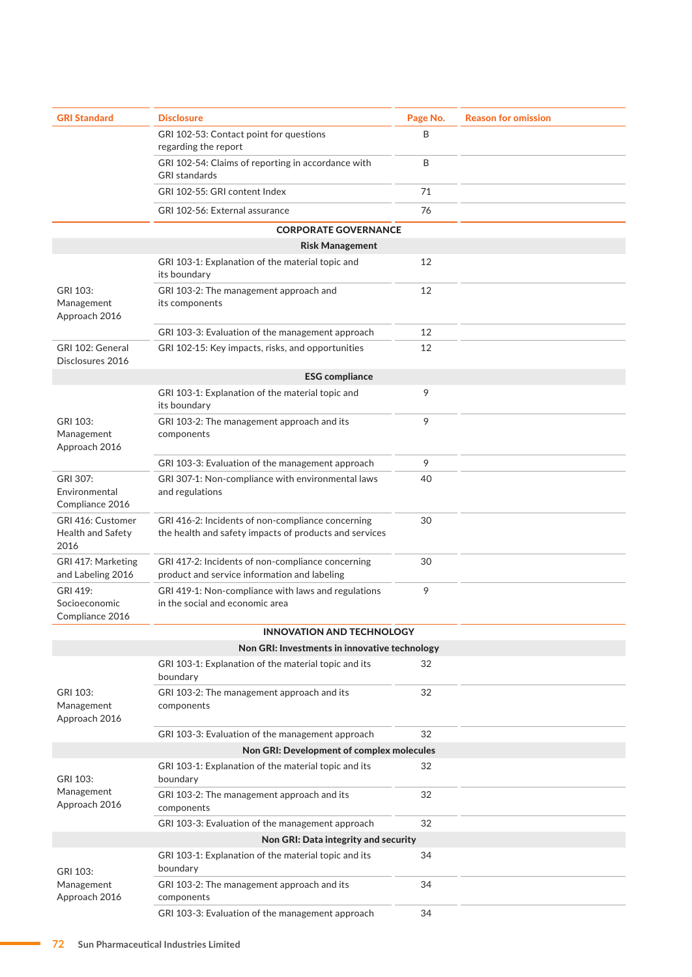| <b>GRI Standard</b>                            | <b>Disclosure</b>                                                                                           | Page No. | <b>Reason for omission</b> |
|------------------------------------------------|-------------------------------------------------------------------------------------------------------------|----------|----------------------------|
|                                                | GRI 102-53: Contact point for questions<br>regarding the report                                             | B        |                            |
|                                                | GRI 102-54: Claims of reporting in accordance with<br><b>GRI</b> standards                                  | Β        |                            |
|                                                | GRI 102-55: GRI content Index                                                                               | 71       |                            |
|                                                | GRI 102-56: External assurance                                                                              | 76       |                            |
|                                                | <b>CORPORATE GOVERNANCE</b>                                                                                 |          |                            |
|                                                | <b>Risk Management</b>                                                                                      |          |                            |
|                                                | GRI 103-1: Explanation of the material topic and<br>its boundary                                            | 12       |                            |
| GRI 103:<br>Management<br>Approach 2016        | GRI 103-2: The management approach and<br>its components                                                    | 12       |                            |
|                                                | GRI 103-3: Evaluation of the management approach                                                            | 12       |                            |
| GRI 102: General<br>Disclosures 2016           | GRI 102-15: Key impacts, risks, and opportunities                                                           | 12       |                            |
|                                                | <b>ESG compliance</b>                                                                                       |          |                            |
|                                                | GRI 103-1: Explanation of the material topic and<br>its boundary                                            | 9        |                            |
| GRI 103:<br>Management<br>Approach 2016        | GRI 103-2: The management approach and its<br>components                                                    | 9        |                            |
|                                                | GRI 103-3: Evaluation of the management approach                                                            | 9        |                            |
| GRI 307:<br>Environmental<br>Compliance 2016   | GRI 307-1: Non-compliance with environmental laws<br>and regulations                                        | 40       |                            |
| GRI 416: Customer<br>Health and Safety<br>2016 | GRI 416-2: Incidents of non-compliance concerning<br>the health and safety impacts of products and services | 30       |                            |
| GRI 417: Marketing<br>and Labeling 2016        | GRI 417-2: Incidents of non-compliance concerning<br>product and service information and labeling           | 30       |                            |
| GRI 419:<br>Socioeconomic<br>Compliance 2016   | GRI 419-1: Non-compliance with laws and regulations<br>in the social and economic area                      | 9        |                            |
|                                                | <b>INNOVATION AND TECHNOLOGY</b>                                                                            |          |                            |
|                                                | Non GRI: Investments in innovative technology                                                               |          |                            |
|                                                | GRI 103-1: Explanation of the material topic and its<br>boundary                                            | 32       |                            |
| GRI 103:<br>Management<br>Approach 2016        | GRI 103-2: The management approach and its<br>components                                                    | 32       |                            |
|                                                | GRI 103-3: Evaluation of the management approach                                                            | 32       |                            |
|                                                | Non GRI: Development of complex molecules                                                                   |          |                            |
| GRI 103:<br>Management<br>Approach 2016        | GRI 103-1: Explanation of the material topic and its<br>boundary                                            | 32       |                            |
|                                                | GRI 103-2: The management approach and its<br>components                                                    | 32       |                            |
|                                                | GRI 103-3: Evaluation of the management approach                                                            | 32       |                            |
|                                                | Non GRI: Data integrity and security                                                                        |          |                            |
| GRI 103:<br>Management<br>Approach 2016        | GRI 103-1: Explanation of the material topic and its<br>boundary                                            | 34       |                            |
|                                                | GRI 103-2: The management approach and its<br>components                                                    | 34       |                            |
|                                                | GRI 103-3: Evaluation of the management approach                                                            | 34       |                            |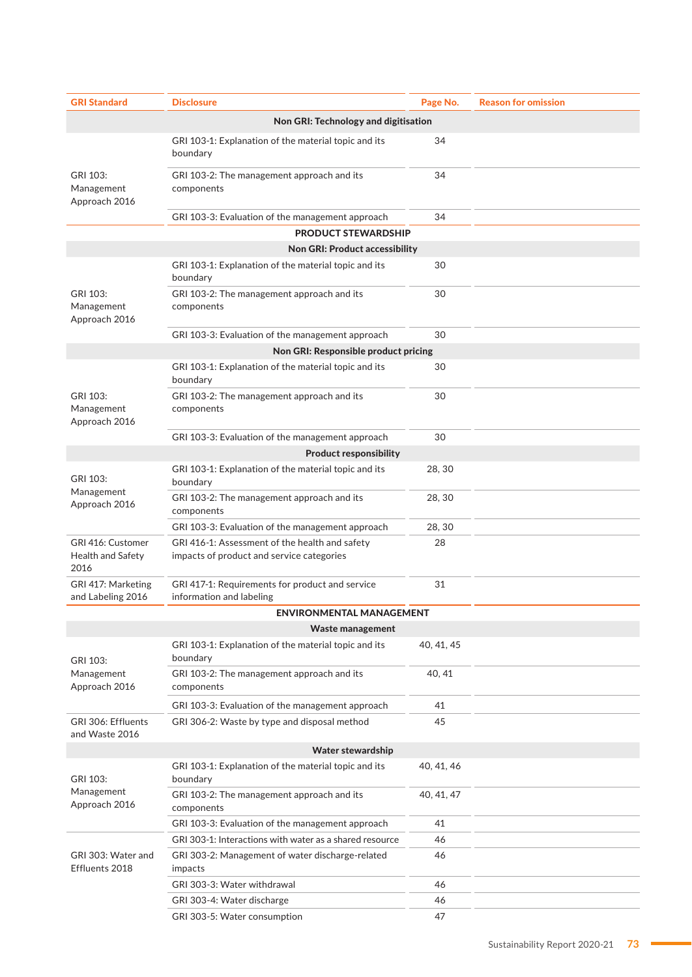| <b>GRI Standard</b>                            | <b>Disclosure</b>                                                                           | Page No.   | <b>Reason for omission</b> |
|------------------------------------------------|---------------------------------------------------------------------------------------------|------------|----------------------------|
| Non GRI: Technology and digitisation           |                                                                                             |            |                            |
|                                                | GRI 103-1: Explanation of the material topic and its<br>boundary                            | 34         |                            |
| GRI 103:<br>Management<br>Approach 2016        | GRI 103-2: The management approach and its<br>components                                    | 34         |                            |
|                                                | GRI 103-3: Evaluation of the management approach                                            | 34         |                            |
|                                                | <b>PRODUCT STEWARDSHIP</b>                                                                  |            |                            |
|                                                | <b>Non GRI: Product accessibility</b>                                                       |            |                            |
|                                                | GRI 103-1: Explanation of the material topic and its<br>boundary                            | 30         |                            |
| GRI 103:<br>Management<br>Approach 2016        | GRI 103-2: The management approach and its<br>components                                    | 30         |                            |
|                                                | GRI 103-3: Evaluation of the management approach                                            | 30         |                            |
|                                                | Non GRI: Responsible product pricing                                                        |            |                            |
|                                                | GRI 103-1: Explanation of the material topic and its<br>boundary                            | 30         |                            |
| GRI 103:<br>Management<br>Approach 2016        | GRI 103-2: The management approach and its<br>components                                    | 30         |                            |
|                                                | GRI 103-3: Evaluation of the management approach<br><b>Product responsibility</b>           | 30         |                            |
| GRI 103:                                       | GRI 103-1: Explanation of the material topic and its<br>boundary                            | 28, 30     |                            |
| Management<br>Approach 2016                    | GRI 103-2: The management approach and its<br>components                                    | 28, 30     |                            |
|                                                | GRI 103-3: Evaluation of the management approach                                            | 28, 30     |                            |
| GRI 416: Customer<br>Health and Safety<br>2016 | GRI 416-1: Assessment of the health and safety<br>impacts of product and service categories | 28         |                            |
| GRI 417: Marketing<br>and Labeling 2016        | GRI 417-1: Requirements for product and service<br>information and labeling                 | 31         |                            |
|                                                | <b>ENVIRONMENTAL MANAGEMENT</b>                                                             |            |                            |
|                                                | Waste management                                                                            |            |                            |
| GRI 103:<br>Management<br>Approach 2016        | GRI 103-1: Explanation of the material topic and its<br>boundary                            | 40, 41, 45 |                            |
|                                                | GRI 103-2: The management approach and its<br>components                                    | 40, 41     |                            |
|                                                | GRI 103-3: Evaluation of the management approach                                            | 41         |                            |
| GRI 306: Effluents<br>and Waste 2016           | GRI 306-2: Waste by type and disposal method                                                | 45         |                            |
|                                                | Water stewardship                                                                           |            |                            |
| GRI 103:<br>Management<br>Approach 2016        | GRI 103-1: Explanation of the material topic and its<br>boundary                            | 40, 41, 46 |                            |
|                                                | GRI 103-2: The management approach and its<br>components                                    | 40, 41, 47 |                            |
|                                                | GRI 103-3: Evaluation of the management approach                                            | 41         |                            |
| GRI 303: Water and<br>Effluents 2018           | GRI 303-1: Interactions with water as a shared resource                                     | 46         |                            |
|                                                | GRI 303-2: Management of water discharge-related<br>impacts                                 | 46         |                            |
|                                                | GRI 303-3: Water withdrawal                                                                 | 46         |                            |
|                                                | GRI 303-4: Water discharge                                                                  | 46         |                            |
|                                                | GRI 303-5: Water consumption                                                                | 47         |                            |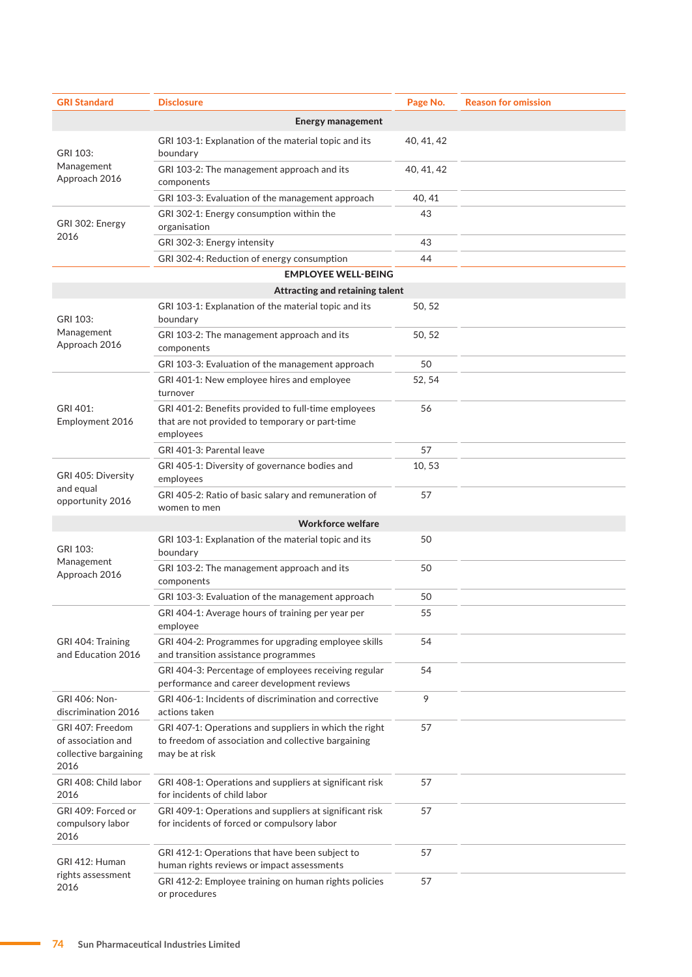| <b>GRI Standard</b>                                                     | <b>Disclosure</b>                                                                                                               | Page No.   | <b>Reason for omission</b> |
|-------------------------------------------------------------------------|---------------------------------------------------------------------------------------------------------------------------------|------------|----------------------------|
|                                                                         | <b>Energy management</b>                                                                                                        |            |                            |
| GRI 103:<br>Management<br>Approach 2016                                 | GRI 103-1: Explanation of the material topic and its<br>boundary                                                                | 40, 41, 42 |                            |
|                                                                         | GRI 103-2: The management approach and its<br>components                                                                        | 40, 41, 42 |                            |
|                                                                         | GRI 103-3: Evaluation of the management approach                                                                                | 40, 41     |                            |
|                                                                         | GRI 302-1: Energy consumption within the                                                                                        | 43         |                            |
| GRI 302: Energy<br>2016                                                 | organisation                                                                                                                    |            |                            |
|                                                                         | GRI 302-3: Energy intensity                                                                                                     | 43         |                            |
|                                                                         | GRI 302-4: Reduction of energy consumption                                                                                      | 44         |                            |
|                                                                         | <b>EMPLOYEE WELL-BEING</b>                                                                                                      |            |                            |
|                                                                         | Attracting and retaining talent                                                                                                 |            |                            |
| GRI 103:                                                                | GRI 103-1: Explanation of the material topic and its<br>boundary                                                                | 50, 52     |                            |
| Management<br>Approach 2016                                             | GRI 103-2: The management approach and its<br>components                                                                        | 50, 52     |                            |
|                                                                         | GRI 103-3: Evaluation of the management approach                                                                                | 50         |                            |
|                                                                         | GRI 401-1: New employee hires and employee<br>turnover                                                                          | 52, 54     |                            |
| GRI 401:<br>Employment 2016                                             | GRI 401-2: Benefits provided to full-time employees<br>that are not provided to temporary or part-time<br>employees             | 56         |                            |
|                                                                         | GRI 401-3: Parental leave                                                                                                       | 57         |                            |
| GRI 405: Diversity                                                      | GRI 405-1: Diversity of governance bodies and<br>employees                                                                      | 10,53      |                            |
| and equal<br>opportunity 2016                                           | GRI 405-2: Ratio of basic salary and remuneration of<br>women to men                                                            | 57         |                            |
|                                                                         | <b>Workforce welfare</b>                                                                                                        |            |                            |
| GRI 103:                                                                | GRI 103-1: Explanation of the material topic and its<br>boundary                                                                | 50         |                            |
| Management<br>Approach 2016                                             | GRI 103-2: The management approach and its<br>components                                                                        | 50         |                            |
|                                                                         | GRI 103-3: Evaluation of the management approach                                                                                | 50         |                            |
| GRI 404: Training<br>and Education 2016                                 | GRI 404-1: Average hours of training per year per<br>employee                                                                   | 55         |                            |
|                                                                         | GRI 404-2: Programmes for upgrading employee skills<br>and transition assistance programmes                                     | 54         |                            |
|                                                                         | GRI 404-3: Percentage of employees receiving regular<br>performance and career development reviews                              | 54         |                            |
| GRI 406: Non-<br>discrimination 2016                                    | GRI 406-1: Incidents of discrimination and corrective<br>actions taken                                                          | 9          |                            |
| GRI 407: Freedom<br>of association and<br>collective bargaining<br>2016 | GRI 407-1: Operations and suppliers in which the right<br>to freedom of association and collective bargaining<br>may be at risk | 57         |                            |
| GRI 408: Child labor<br>2016                                            | GRI 408-1: Operations and suppliers at significant risk<br>for incidents of child labor                                         | 57         |                            |
| GRI 409: Forced or<br>compulsory labor<br>2016                          | GRI 409-1: Operations and suppliers at significant risk<br>for incidents of forced or compulsory labor                          | 57         |                            |
| GRI 412: Human<br>rights assessment<br>2016                             | GRI 412-1: Operations that have been subject to<br>human rights reviews or impact assessments                                   | 57         |                            |
|                                                                         | GRI 412-2: Employee training on human rights policies<br>or procedures                                                          | 57         |                            |